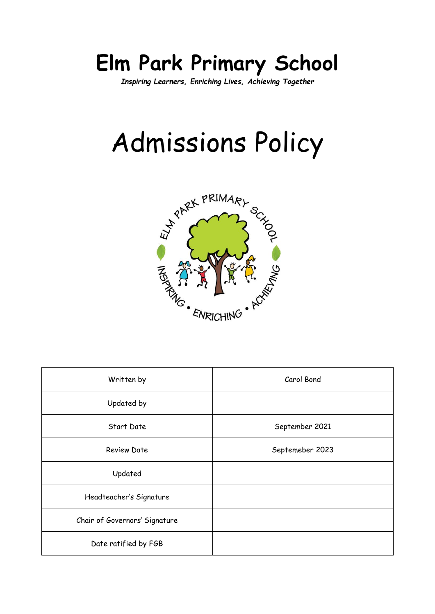# **Elm Park Primary School**

*Inspiring Learners, Enriching Lives, Achieving Together*

# Admissions Policy



| Written by                    | Carol Bond      |
|-------------------------------|-----------------|
| Updated by                    |                 |
| Start Date                    | September 2021  |
| <b>Review Date</b>            | Septemeber 2023 |
| Updated                       |                 |
| Headteacher's Signature       |                 |
| Chair of Governors' Signature |                 |
| Date ratified by FGB          |                 |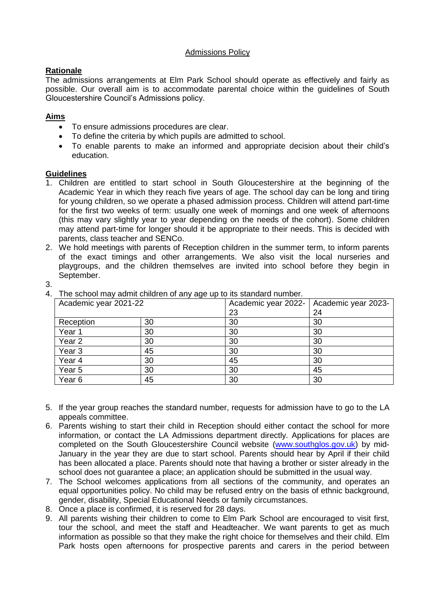#### Admissions Policy

### **Rationale**

The admissions arrangements at Elm Park School should operate as effectively and fairly as possible. Our overall aim is to accommodate parental choice within the guidelines of South Gloucestershire Council's Admissions policy.

## **Aims**

- To ensure admissions procedures are clear.
- To define the criteria by which pupils are admitted to school.
- To enable parents to make an informed and appropriate decision about their child's education.

#### **Guidelines**

- 1. Children are entitled to start school in South Gloucestershire at the beginning of the Academic Year in which they reach five years of age. The school day can be long and tiring for young children, so we operate a phased admission process. Children will attend part-time for the first two weeks of term: usually one week of mornings and one week of afternoons (this may vary slightly year to year depending on the needs of the cohort). Some children may attend part-time for longer should it be appropriate to their needs. This is decided with parents, class teacher and SENCo.
- 2. We hold meetings with parents of Reception children in the summer term, to inform parents of the exact timings and other arrangements. We also visit the local nurseries and playgroups, and the children themselves are invited into school before they begin in September.
- 3.

Academic year 2021-22 Academic year 2022-23 Academic year 2023- 24  $\text{Reception}$  30 30 30 Year 1 | 30 | 30 | 30 Year 2 30 30 30 Year 3 45 30 30 Year 4  $\begin{array}{|c|c|c|c|c|} \hline \end{array}$  30  $\begin{array}{|c|c|c|c|c|} \hline \end{array}$  45  $\begin{array}{|c|c|c|c|c|} \hline \end{array}$ Year 5 30 30 30 45 Year 6 45 30 30

4. The school may admit children of any age up to its standard number.

- 5. If the year group reaches the standard number, requests for admission have to go to the LA appeals committee.
- 6. Parents wishing to start their child in Reception should either contact the school for more information, or contact the LA Admissions department directly. Applications for places are completed on the South Gloucestershire Council website [\(www.southglos.gov.uk\)](http://www.southglos.gov.uk/) by mid-January in the year they are due to start school. Parents should hear by April if their child has been allocated a place. Parents should note that having a brother or sister already in the school does not guarantee a place; an application should be submitted in the usual way.
- 7. The School welcomes applications from all sections of the community, and operates an equal opportunities policy. No child may be refused entry on the basis of ethnic background, gender, disability, Special Educational Needs or family circumstances.
- 8. Once a place is confirmed, it is reserved for 28 days.
- 9. All parents wishing their children to come to Elm Park School are encouraged to visit first, tour the school, and meet the staff and Headteacher. We want parents to get as much information as possible so that they make the right choice for themselves and their child. Elm Park hosts open afternoons for prospective parents and carers in the period between